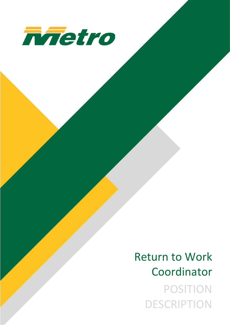

# Return to Work Coordinator POSITION **DESCRIPTION**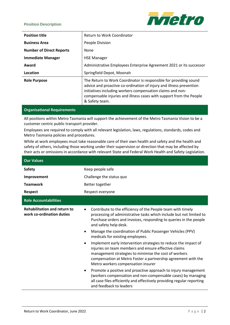#### **Position Description**



| <b>Position title</b>           | <b>Return to Work Coordinator</b>                                                                                                                                                                                                                                                               |
|---------------------------------|-------------------------------------------------------------------------------------------------------------------------------------------------------------------------------------------------------------------------------------------------------------------------------------------------|
| <b>Business Area</b>            | People Division                                                                                                                                                                                                                                                                                 |
| <b>Number of Direct Reports</b> | None                                                                                                                                                                                                                                                                                            |
| <b>Immediate Manager</b>        | <b>HSE Manager</b>                                                                                                                                                                                                                                                                              |
| Award                           | Administrative Employees Enterprise Agreement 2021 or its successor                                                                                                                                                                                                                             |
| Location                        | Springfield Depot, Moonah                                                                                                                                                                                                                                                                       |
| <b>Role Purpose</b>             | The Return to Work Coordinator is responsible for providing sound<br>advice and proactive co-ordination of injury and illness prevention<br>initiatives including workers compensation claims and non-<br>compensable injuries and illness cases with support from the People<br>& Safety team. |

## **Organisational Requirements**

All positions within Metro Tasmania will support the achievement of the Metro Tasmania Vision to be a customer centric public transport provider.

Employees are required to comply with all relevant legislation, laws, regulations, standards, codes and Metro Tasmania policies and procedures.

While at work employees must take reasonable care of their own health and safety and the health and safety of others, including those working under their supervision or direction that may be affected by their acts or omissions in accordance with relevant State and Federal Work Health and Safety Legislation.

| <b>Our Values</b>                                                |                                                                                                                                                                                                                                                                                                                                                                                                                                                                                                                                                                                                                                                                                                                                                                                                                                                                                                             |  |
|------------------------------------------------------------------|-------------------------------------------------------------------------------------------------------------------------------------------------------------------------------------------------------------------------------------------------------------------------------------------------------------------------------------------------------------------------------------------------------------------------------------------------------------------------------------------------------------------------------------------------------------------------------------------------------------------------------------------------------------------------------------------------------------------------------------------------------------------------------------------------------------------------------------------------------------------------------------------------------------|--|
| <b>Safety</b>                                                    | Keep people safe                                                                                                                                                                                                                                                                                                                                                                                                                                                                                                                                                                                                                                                                                                                                                                                                                                                                                            |  |
| Improvement                                                      | Challenge the status quo                                                                                                                                                                                                                                                                                                                                                                                                                                                                                                                                                                                                                                                                                                                                                                                                                                                                                    |  |
| <b>Teamwork</b>                                                  | Better together                                                                                                                                                                                                                                                                                                                                                                                                                                                                                                                                                                                                                                                                                                                                                                                                                                                                                             |  |
| <b>Respect</b>                                                   | Respect everyone                                                                                                                                                                                                                                                                                                                                                                                                                                                                                                                                                                                                                                                                                                                                                                                                                                                                                            |  |
| <b>Role Accountabilities</b>                                     |                                                                                                                                                                                                                                                                                                                                                                                                                                                                                                                                                                                                                                                                                                                                                                                                                                                                                                             |  |
| <b>Rehabilitation and return to</b><br>work co-ordination duties | Contribute to the efficiency of the People team with timely<br>processing of administrative tasks which include but not limited to<br>Purchase orders and invoices, responding to queries in the people<br>and safety help desk.<br>Manage the coordination of Public Passenger Vehicles (PPV)<br>$\bullet$<br>medicals for existing employees.<br>Implement early intervention strategies to reduce the impact of<br>$\bullet$<br>injuries on team members and ensure effective claims<br>management strategies to minimise the cost of workers<br>compensation at Metro Foster a partnership agreement with the<br>Metro workers compensation insurer<br>Promote a positive and proactive approach to injury management<br>$\bullet$<br>(workers compensation and non-compensable cases) by managing<br>all case files efficiently and effectively providing regular reporting<br>and feedback to leaders |  |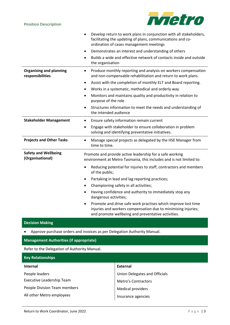

|                                                                          | Develop return to work plans in conjunction with all stakeholders,<br>facilitating the updating of plans, communications and co-<br>ordination of cases management meetings          |  |  |
|--------------------------------------------------------------------------|--------------------------------------------------------------------------------------------------------------------------------------------------------------------------------------|--|--|
|                                                                          | Demonstrates an interest and understanding of others                                                                                                                                 |  |  |
|                                                                          | Builds a wide and effective network of contacts inside and outside<br>$\bullet$<br>the organisation                                                                                  |  |  |
| <b>Organising and planning</b><br>responsibilities                       | Produce monthly reporting and analysis on workers compensation<br>and non-compensable rehabilitation and return to work plans.                                                       |  |  |
|                                                                          | Assist with the completion of monthly ELT and Board reporting.<br>$\bullet$                                                                                                          |  |  |
|                                                                          | Works in a systematic, methodical and orderly way<br>٠                                                                                                                               |  |  |
|                                                                          | Monitors and maintains quality and productivity in relation to<br>purpose of the role                                                                                                |  |  |
|                                                                          | Structures information to meet the needs and understanding of<br>٠<br>the intended audience                                                                                          |  |  |
| <b>Stakeholder Management</b>                                            | Ensure safety information remain current                                                                                                                                             |  |  |
|                                                                          | Engage with stakeholder to ensure collaboration in problem<br>$\bullet$<br>solving and identifying preventative initiatives.                                                         |  |  |
| <b>Projects and Other Tasks</b>                                          | Manage special projects as delegated by the HSE Manager from<br>time to time.                                                                                                        |  |  |
| <b>Safety and Wellbeing</b><br>(Organisational)                          | Promote and provide active leadership for a safe working<br>environment at Metro Tasmania, this includes and is not limited to:                                                      |  |  |
|                                                                          | Reducing potential for injuries to staff, contractors and members<br>of the public;                                                                                                  |  |  |
|                                                                          | Partaking in lead and lag reporting practices;                                                                                                                                       |  |  |
|                                                                          | Championing safety in all activities;                                                                                                                                                |  |  |
|                                                                          | Having confidence and authority to immediately stop any<br>dangerous activities;                                                                                                     |  |  |
|                                                                          | Promote and drive safe work practises which improve lost time<br>injuries and workers compensation due to minimising injuries;<br>and promote wellbeing and preventative activities. |  |  |
| <b>Decision Making</b>                                                   |                                                                                                                                                                                      |  |  |
| Approve purchase orders and invoices as per Delegation Authority Manual. |                                                                                                                                                                                      |  |  |
| <b>Management Authorities (if appropriate)</b>                           |                                                                                                                                                                                      |  |  |

Refer to the Delegation of Authority Manual.

| <b>Key Relationships</b>     |                               |  |
|------------------------------|-------------------------------|--|
| <b>Internal</b>              | External                      |  |
| People leaders               | Union Delegates and Officials |  |
| Executive Leadership Team    | <b>Metro's Contractors</b>    |  |
| People Division Team members | <b>Medical providers</b>      |  |
| All other Metro employees    | Insurance agencies            |  |